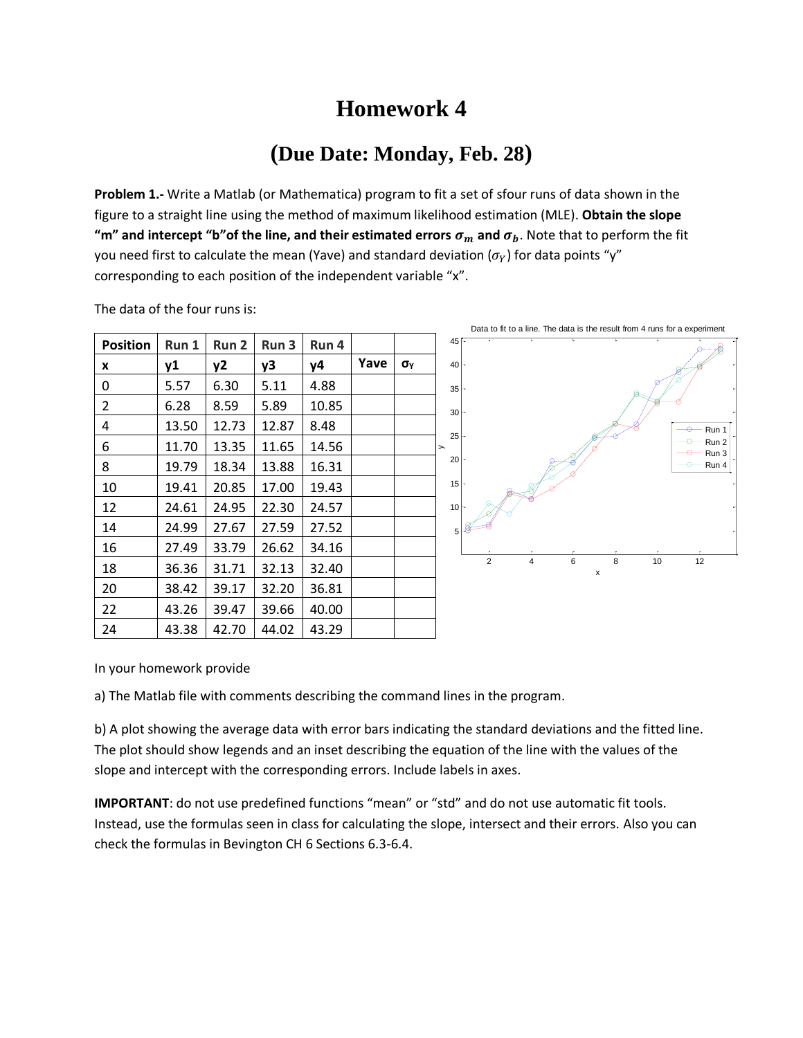## **Homework 4**

## **(Due Date: Monday, Feb. 28)**

**Problem 1.-** Write a Matlab (or Mathematica) program to fit a set of sfour runs of data shown in the figure to a straight line using the method of maximum likelihood estimation (MLE). **Obtain the slope "m" and intercept "b" of the line, and their estimated errors**  $\sigma_m$  **and**  $\sigma_b$ **. Note that to perform the fit** you need first to calculate the mean (Yave) and standard deviation ( $\sigma_Y$ ) for data points "y" corresponding to each position of the independent variable "x".

|                 |           |                  |       |       | Data to fit to a line. The data is the result from 4 runs for a experiment |              |                                                             |
|-----------------|-----------|------------------|-------|-------|----------------------------------------------------------------------------|--------------|-------------------------------------------------------------|
| <b>Position</b> | Run 1     | Run <sub>2</sub> | Run 3 | Run 4 |                                                                            |              | 45 F                                                        |
| x               | <b>y1</b> | y2               | y3    | y4    | Yave                                                                       | $\sigma_{Y}$ | 40 <sup>1</sup>                                             |
| 0               | 5.57      | 6.30             | 5.11  | 4.88  |                                                                            |              | 35 <sup>2</sup>                                             |
| $\overline{2}$  | 6.28      | 8.59             | 5.89  | 10.85 |                                                                            |              | 30 <sup>1</sup>                                             |
| 4               | 13.50     | 12.73            | 12.87 | 8.48  |                                                                            |              | $\rightarrow$<br>- Run 1<br>25                              |
| 6               | 11.70     | 13.35            | 11.65 | 14.56 |                                                                            |              | $-$ Run 2<br>$\!$<br>Run 3                                  |
| 8               | 19.79     | 18.34            | 13.88 | 16.31 |                                                                            |              | 20<br>Run 4                                                 |
| 10              | 19.41     | 20.85            | 17.00 | 19.43 |                                                                            |              | 15 <sup>2</sup>                                             |
| 12              | 24.61     | 24.95            | 22.30 | 24.57 |                                                                            |              | 10 <sup>1</sup>                                             |
| 14              | 24.99     | 27.67            | 27.59 | 27.52 |                                                                            |              | 5                                                           |
| 16              | 27.49     | 33.79            | 26.62 | 34.16 |                                                                            |              |                                                             |
| 18              | 36.36     | 31.71            | 32.13 | 32.40 |                                                                            |              | $\overline{2}$<br>12<br>6<br>10<br>$\overline{4}$<br>8<br>x |
| 20              | 38.42     | 39.17            | 32.20 | 36.81 |                                                                            |              |                                                             |
| 22              | 43.26     | 39.47            | 39.66 | 40.00 |                                                                            |              |                                                             |
| 24              | 43.38     | 42.70            | 44.02 | 43.29 |                                                                            |              |                                                             |

The data of the four runs is:

In your homework provide

a) The Matlab file with comments describing the command lines in the program.

b) A plot showing the average data with error bars indicating the standard deviations and the fitted line. The plot should show legends and an inset describing the equation of the line with the values of the slope and intercept with the corresponding errors. Include labels in axes.

**IMPORTANT**: do not use predefined functions "mean" or "std" and do not use automatic fit tools. Instead, use the formulas seen in class for calculating the slope, intersect and their errors. Also you can check the formulas in Bevington CH 6 Sections 6.3-6.4.